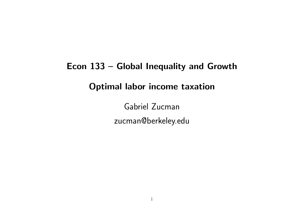# Econ 133 – Global Inequality and Growth Optimal labor income taxation

Gabriel Zucman zucman@berkeley.edu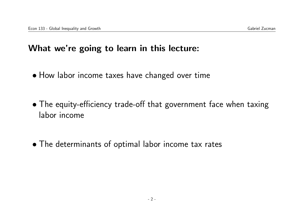#### What we're going to learn in this lecture:

- How labor income taxes have changed over time
- The equity-efficiency trade-off that government face when taxing labor income
- The determinants of optimal labor income tax rates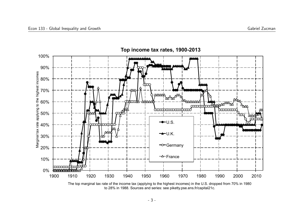

The top marginal tax rate of the income tax (applying to the highest incomes) in the U.S. dropped from 70% in 1980 to 28% in 1988. Sources and series: see piketty.pse.ens.fr/capital21c.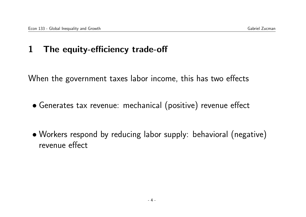## 1 The equity-efficiency trade-off

When the government taxes labor income, this has two effects

- Generates tax revenue: mechanical (positive) revenue effect
- Workers respond by reducing labor supply: behavioral (negative) revenue effect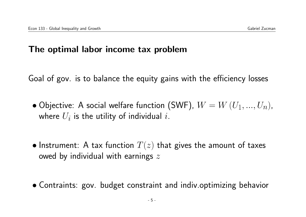#### The optimal labor income tax problem

Goal of gov. is to balance the equity gains with the efficiency losses

- $\bullet$  Objective: A social welfare function (SWF),  $W=W\left(U_{1},...,U_{n}\right)$ , where  $U_i$  is the utility of individual  $i.$
- Instrument: A tax function  $T(z)$  that gives the amount of taxes owed by individual with earnings  $z$
- Contraints: gov. budget constraint and indiv.optimizing behavior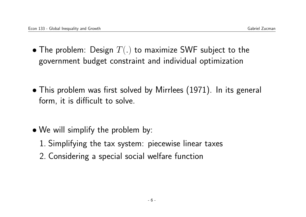- The problem: Design  $T(.)$  to maximize SWF subject to the government budget constraint and individual optimization
- This problem was first solved by Mirrlees (1971). In its general form, it is difficult to solve.
- We will simplify the problem by:
	- 1. Simplifying the tax system: piecewise linear taxes
	- 2. Considering a special social welfare function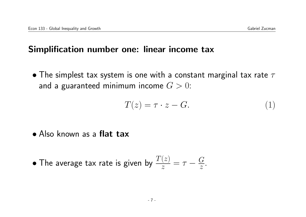#### Simplification number one: linear income tax

• The simplest tax system is one with a constant marginal tax rate  $\tau$ and a guaranteed minimum income  $G > 0$ :

$$
T(z) = \tau \cdot z - G. \tag{1}
$$

• Also known as a flat tax

• The average tax rate is given by 
$$
\frac{T(z)}{z} = \tau - \frac{G}{z}
$$
.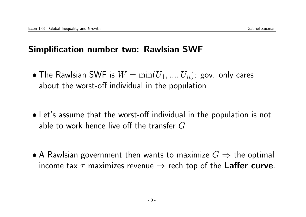## Simplification number two: Rawlsian SWF

- $\bullet$  The Rawlsian SWF is  $W = \min(U_1,...,U_n)$ : gov. only cares about the worst-off individual in the population
- Let's assume that the worst-off individual in the population is not able to work hence live off the transfer  $G$
- A Rawlsian government then wants to maximize  $G \Rightarrow$  the optimal income tax  $\tau$  maximizes revenue  $\Rightarrow$  rech top of the Laffer curve.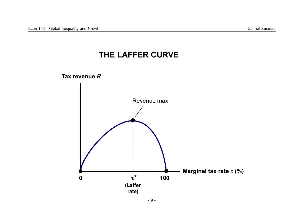#### **THE LAFFER CURVE THE LAFFER**

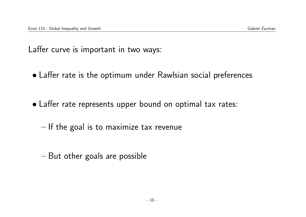Laffer curve is important in two ways:

- Laffer rate is the optimum under Rawlsian social preferences
- Laffer rate represents upper bound on optimal tax rates:
	- If the goal is to maximize tax revenue
	- But other goals are possible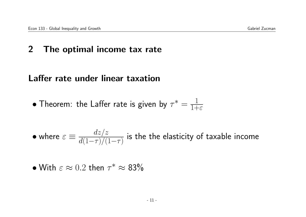## 2 The optimal income tax rate

## Laffer rate under linear taxation

• Theorem: the Laffer rate is given by 
$$
\tau^* = \frac{1}{1+\varepsilon}
$$

• where 
$$
\varepsilon \equiv \frac{dz/z}{d(1-\tau)/(1-\tau)}
$$
 is the the elasticity of taxable income

• With 
$$
\varepsilon \approx 0.2
$$
 then  $\tau^* \approx 83\%$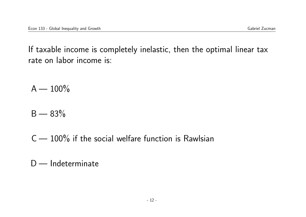If taxable income is completely inelastic, then the optimal linear tax rate on labor income is:

 $A - 100\%$ 

 $B - 83\%$ 

 $C - 100\%$  if the social welfare function is Rawlsian

D - Indeterminate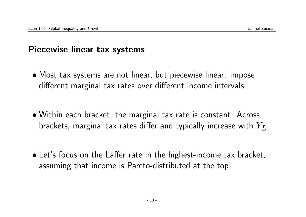## Piecewise linear tax systems

- Most tax systems are not linear, but piecewise linear: impose different marginal tax rates over different income intervals
- Within each bracket, the marginal tax rate is constant. Across brackets, marginal tax rates differ and typically increase with  $Y_L$
- Let's focus on the Laffer rate in the highest-income tax bracket, assuming that income is Pareto-distributed at the top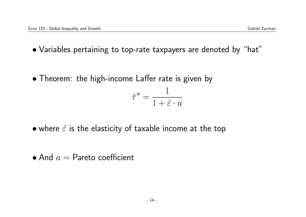- Variables pertaining to top-rate taxpayers are denoted by "hat"
- Theorem: the high-income Laffer rate is given by

$$
\hat{\tau}^* = \frac{1}{1 + \hat{\varepsilon} \cdot a}
$$

- where  $\hat{\varepsilon}$  is the elasticity of taxable income at the top
- $\bullet$  And  $a =$  Pareto coefficient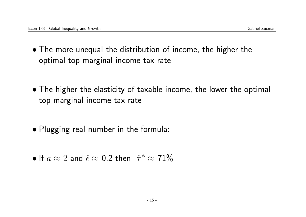- The more unequal the distribution of income, the higher the optimal top marginal income tax rate
- The higher the elasticity of taxable income, the lower the optimal top marginal income tax rate
- Plugging real number in the formula:
- If  $a \approx 2$  and  $\hat{\epsilon} \approx 0.2$  then  $\hat{\tau}^* \approx 71\%$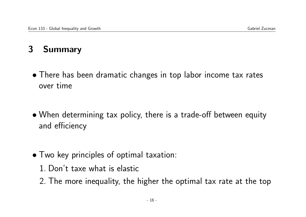## 3 Summary

- There has been dramatic changes in top labor income tax rates over time
- When determining tax policy, there is a trade-off between equity and efficiency
- Two key principles of optimal taxation:
	- 1. Don't taxe what is elastic
	- 2. The more inequality, the higher the optimal tax rate at the top